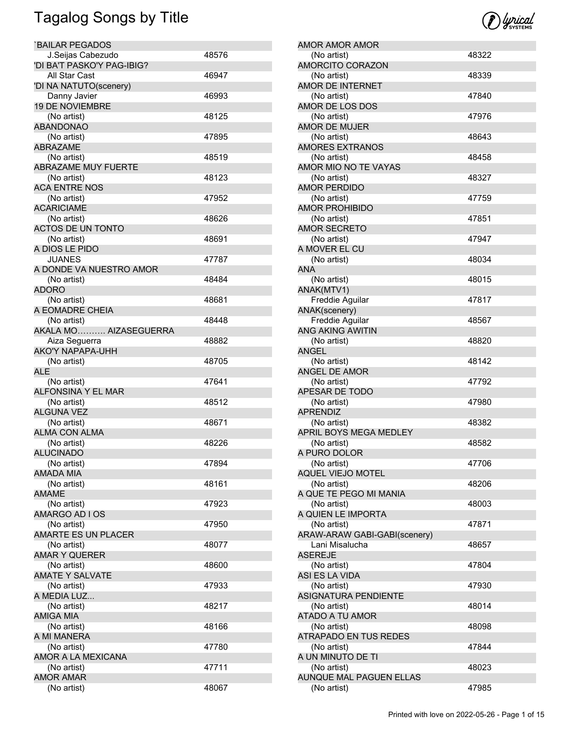| <b>BAILAR PEGADOS</b>            |       |
|----------------------------------|-------|
| J.Seijas Cabezudo                | 48576 |
| 'DI BA'T PASKO'Y PAG-IBIG?       |       |
| All Star Cast                    | 46947 |
| 'DI NA NATUTO(scenery)           |       |
| Danny Javier                     | 46993 |
| <b>19 DE NOVIEMBRE</b>           |       |
| (No artist)                      | 48125 |
| <b>ABANDONAO</b>                 |       |
| (No artist)                      | 47895 |
| <b>ABRAZAME</b>                  |       |
| (No artist)                      | 48519 |
| <b>ABRAZAME MUY FUERTE</b>       |       |
| (No artist)                      | 48123 |
| <b>ACA ENTRE NOS</b>             |       |
| (No artist)<br><b>ACARICIAME</b> | 47952 |
| (No artist)                      | 48626 |
| ACTOS DE UN TONTO                |       |
| (No artist)                      | 48691 |
| A DIOS LE PIDO                   |       |
| <b>JUANES</b>                    | 47787 |
| A DONDE VA NUESTRO AMOR          |       |
| (No artist)                      | 48484 |
| <b>ADORO</b>                     |       |
| (No artist)                      | 48681 |
| A EOMADRE CHEIA                  |       |
| (No artist)                      | 48448 |
| AKALA MO AIZASEGUERRA            |       |
| Aiza Seguerra                    | 48882 |
| <b>AKO'Y NAPAPA-UHH</b>          |       |
| (No artist)                      | 48705 |
| <b>ALE</b>                       |       |
| (No artist)                      | 47641 |
| ALFONSINA Y EL MAR               |       |
| (No artist)                      | 48512 |
| <b>ALGUNA VEZ</b>                |       |
| (No artist)                      | 48671 |
| <b>ALMA CON ALMA</b>             |       |
| (No artist)                      | 48226 |
| <b>ALUCINADO</b>                 |       |
| (No artist)                      | 47894 |
| AMADA MIA                        |       |
| (No artist)                      | 48161 |
| <b>AMAME</b>                     |       |
| (No artist)                      | 47923 |
| AMARGO AD I OS                   |       |
| (No artist)                      | 47950 |
| <b>AMARTE ES UN PLACER</b>       |       |
| (No artist)                      | 48077 |
| <b>AMAR Y QUERER</b>             |       |
| (No artist)                      | 48600 |
| <b>AMATE Y SALVATE</b>           |       |
| (No artist)                      | 47933 |
| A MEDIA LUZ                      |       |
| (No artist)                      | 48217 |
| <b>AMIGA MIA</b>                 |       |
| (No artist)                      | 48166 |
| A MI MANERA                      |       |
| (No artist)                      | 47780 |
| AMOR A LA MEXICANA               |       |
| (No artist)                      | 47711 |
| <b>AMOR AMAR</b>                 |       |
| (No artist)                      | 48067 |



| AMOR AMOR AMOR                     |       |
|------------------------------------|-------|
| (No artist)                        | 48322 |
| <b>AMORCITO CORAZON</b>            |       |
| (No artist)                        | 48339 |
| AMOR DE INTERNET                   |       |
| (No artist)                        | 47840 |
| AMOR DE LOS DOS                    |       |
| (No artist)                        | 47976 |
| AMOR DE MUJER                      |       |
| (No artist)                        | 48643 |
| AMORES EXTRANOS                    |       |
| (No artist)                        | 48458 |
| AMOR MIO NO TE VAYAS               |       |
| (No artist)                        | 48327 |
| <b>AMOR PERDIDO</b>                |       |
| (No artist)                        | 47759 |
| AMOR PROHIBIDO                     |       |
| (No artist)<br><b>AMOR SECRETO</b> | 47851 |
|                                    |       |
| (No artist)                        | 47947 |
| A MOVER EL CU                      |       |
| (No artist)<br><b>ANA</b>          | 48034 |
|                                    |       |
| (No artist)                        | 48015 |
| ANAK(MTV1)<br>Freddie Aguilar      | 47817 |
| ANAK(scenery)                      |       |
| Freddie Aguilar                    | 48567 |
| ANG AKING AWITIN                   |       |
| (No artist)                        | 48820 |
| <b>ANGEL</b>                       |       |
| (No artist)                        | 48142 |
| ANGEL DE AMOR                      |       |
| (No artist)                        | 47792 |
| APESAR DE TODO                     |       |
| (No artist)                        | 47980 |
| <b>APRENDIZ</b>                    |       |
| (No artist)                        | 48382 |
| APRIL BOYS MEGA MEDLEY             |       |
| (No artist)                        | 48582 |
| A PURO DOLOR                       |       |
| (No artist)                        | 47706 |
| <b>AQUEL VIEJO MOTEL</b>           |       |
| (No artist)                        | 48206 |
| A QUE TE PEGO MI MANIA             |       |
| (No artist)                        | 48003 |
| A QUIEN LE IMPORTA                 |       |
| (No artist)                        | 47871 |
| ARAW-ARAW GABI-GABI(scenery)       |       |
| Lani Misalucha                     | 48657 |
| <b>ASEREJE</b>                     |       |
| (No artist)                        | 47804 |
| ASI ES LA VIDA                     |       |
| (No artist)                        | 47930 |
| ASIGNATURA PENDIENTE               |       |
| (No artist)                        | 48014 |
| ATADO A TU AMOR                    |       |
| (No artist)                        | 48098 |
| ATRAPADO EN TUS REDES              |       |
| (No artist)                        | 47844 |
| A UN MINUTO DE TI                  |       |
| (No artist)                        | 48023 |
| AUNQUE MAL PAGUEN ELLAS            |       |
| (No artist)                        | 47985 |
|                                    |       |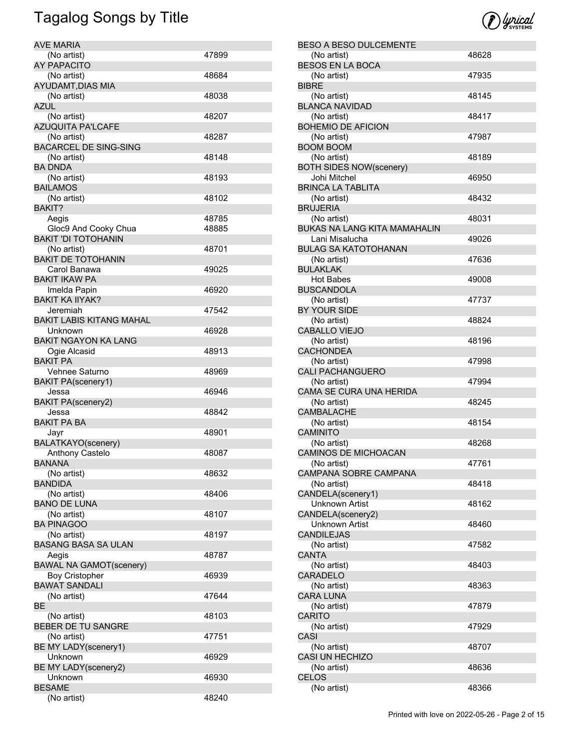| <b>AVE MARIA</b>                |       |
|---------------------------------|-------|
| (No artist)                     | 47899 |
| <b>AY PAPACITO</b>              |       |
| (No artist)                     | 48684 |
| AYUDAMT, DIAS MIA               |       |
| (No artist)                     | 48038 |
| AZUL                            |       |
| (No artist)                     | 48207 |
| <b>AZUQUITA PA'LCAFE</b>        |       |
| (No artist)                     | 48287 |
| <b>BACARCEL DE SING-SING</b>    |       |
| (No artist)                     | 48148 |
| <b>BA DNDA</b>                  |       |
| (No artist)                     | 48193 |
| <b>BAILAMOS</b>                 |       |
| (No artist)                     | 48102 |
| BAKIT?                          |       |
| Aegis                           | 48785 |
| Gloc9 And Cooky Chua            | 48885 |
| <b>BAKIT 'DI TOTOHANIN</b>      |       |
| (No artist)                     | 48701 |
| <b>BAKIT DE TOTOHANIN</b>       |       |
| Carol Banawa                    | 49025 |
| <b>BAKIT IKAW PA</b>            |       |
| Imelda Papin                    | 46920 |
| <b>BAKIT KA IIYAK?</b>          |       |
| Jeremiah                        | 47542 |
| <b>BAKIT LABIS KITANG MAHAL</b> |       |
| Unknown                         | 46928 |
| <b>BAKIT NGAYON KA LANG</b>     |       |
| Ogie Alcasid                    | 48913 |
| <b>BAKIT PA</b>                 |       |
| Vehnee Saturno                  | 48969 |
|                                 |       |
| <b>BAKIT PA(scenery1)</b>       |       |
| Jessa                           | 46946 |
| <b>BAKIT PA(scenery2)</b>       | 48842 |
| Jessa<br><b>BAKIT PA BA</b>     |       |
|                                 |       |
| Jayr                            | 48901 |
| BALATKAYO(scenery)              |       |
| Anthony Castelo                 | 48087 |
| <b>BANANA</b>                   |       |
| (No artist)                     | 48632 |
| <b>BANDIDA</b>                  |       |
| (No artist)                     | 48406 |
| <b>BANO DE LUNA</b>             |       |
| (No artist)                     | 48107 |
| <b>BA PINAGOO</b>               |       |
| (No artist)                     | 48197 |
| <b>BASANG BASA SA ULAN</b>      |       |
| Aegis                           | 48787 |
| <b>BAWAL NA GAMOT(scenery)</b>  |       |
| <b>Boy Cristopher</b>           | 46939 |
| <b>BAWAT SANDALI</b>            |       |
| (No artist)                     | 47644 |
| BЕ                              |       |
| (No artist)                     | 48103 |
| BEBER DE TU SANGRE              |       |
| (No artist)                     | 47751 |
| BE MY LADY(scenery1)            |       |
| Unknown                         | 46929 |
| BE MY LADY(scenery2)            |       |
| Unknown                         | 46930 |
| <b>BESAME</b>                   |       |
| (No artist)                     | 48240 |
|                                 |       |



| <b>BESO A BESO DULCEMENTE</b>  |       |
|--------------------------------|-------|
| (No artist)                    | 48628 |
| BESOS EN LA BOCA               |       |
| (No artist)                    | 47935 |
| <b>BIBRE</b>                   |       |
| (No artist)                    | 48145 |
| <b>BLANCA NAVIDAD</b>          |       |
| (No artist)                    | 48417 |
| <b>BOHEMIO DE AFICION</b>      |       |
| (No artist)                    | 47987 |
| <b>BOOM BOOM</b>               |       |
| (No artist)                    | 48189 |
| <b>BOTH SIDES NOW(scenery)</b> |       |
|                                |       |
| Johi Mitchel                   | 46950 |
| <b>BRINCA LA TABLITA</b>       |       |
| (No artist)                    | 48432 |
| <b>BRUJERIA</b>                |       |
| (No artist)                    | 48031 |
| BUKAS NA LANG KITA MAMAHALIN   |       |
| Lani Misalucha                 | 49026 |
| <b>BULAG SA KATOTOHANAN</b>    |       |
| (No artist)                    | 47636 |
| <b>BULAKLAK</b>                |       |
| <b>Hot Babes</b>               | 49008 |
| <b>BUSCANDOLA</b>              |       |
| (No artist)                    | 47737 |
| BY YOUR SIDE                   |       |
| (No artist)                    | 48824 |
| CABALLO VIEJO                  |       |
| (No artist)                    | 48196 |
| CACHONDEA                      |       |
|                                |       |
| (No artist)                    | 47998 |
| <b>CALI PACHANGUERO</b>        |       |
| (No artist)                    | 47994 |
| CAMA SE CURA UNA HERIDA        |       |
| (No artist)                    | 48245 |
| <b>CAMBALACHE</b>              |       |
| (No artist)                    | 48154 |
| <b>CAMINITO</b>                |       |
| (No artist)                    | 48268 |
| <b>CAMINOS DE MICHOACAN</b>    |       |
| (No artist)                    | 47761 |
| CAMPANA SOBRE CAMPANA          |       |
| (No artist)                    | 48418 |
| CANDELA(scenery1)              |       |
| <b>Unknown Artist</b>          | 48162 |
| CANDELA(scenery2)              |       |
| <b>Unknown Artist</b>          | 48460 |
| CANDILEJAS                     |       |
| (No artist)                    | 47582 |
| <b>CANTA</b>                   |       |
| (No artist)                    | 48403 |
| <b>CARADELO</b>                |       |
|                                |       |
| (No artist)                    | 48363 |
| <b>CARA LUNA</b>               |       |
| (No artist)                    | 47879 |
| <b>CARITO</b>                  |       |
| (No artist)                    | 47929 |
| CASI                           |       |
| (No artist)                    | 48707 |
| <b>CASI UN HECHIZO</b>         |       |
| (No artist)                    | 48636 |
|                                |       |
| <b>CELOS</b>                   |       |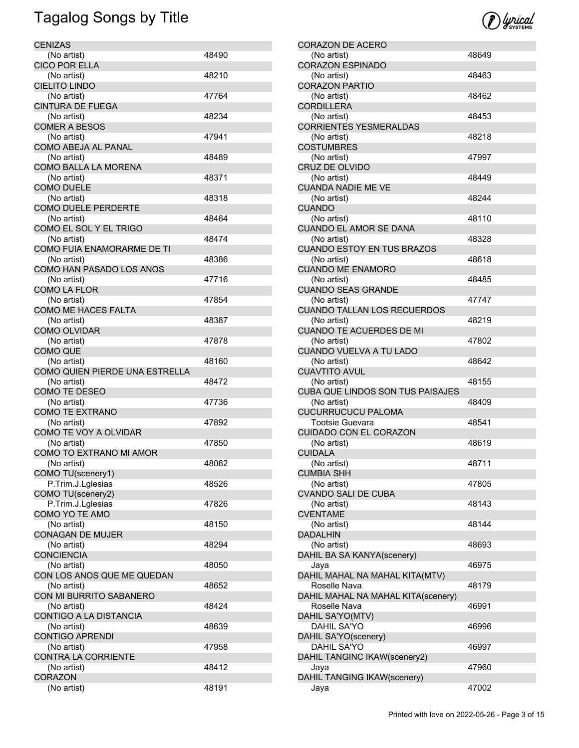| <b>CENIZAS</b>                         |       |
|----------------------------------------|-------|
| (No artist)                            | 48490 |
| <b>CICO POR ELLA</b>                   |       |
| (No artist)                            | 48210 |
| <b>CIELITO LINDO</b>                   |       |
| (No artist)                            | 47764 |
| <b>CINTURA DE FUEGA</b>                |       |
| (No artist)                            | 48234 |
| <b>COMER A BESOS</b>                   |       |
| (No artist)                            | 47941 |
| COMO ABEJA AL PANAL                    |       |
| (No artist)<br>COMO BALLA LA MORENA    | 48489 |
|                                        |       |
| (No artist)<br><b>COMO DUELE</b>       | 48371 |
| (No artist)                            | 48318 |
| <b>COMO DUELE PERDERTE</b>             |       |
| (No artist)                            | 48464 |
| COMO EL SOL Y EL TRIGO                 |       |
| (No artist)                            | 48474 |
| COMO FUIA ENAMORARME DE TI             |       |
| (No artist)                            | 48386 |
| COMO HAN PASADO LOS ANOS               |       |
| (No artist)                            | 47716 |
| <b>COMO LA FLOR</b>                    |       |
| (No artist)                            | 47854 |
| COMO ME HACES FALTA                    |       |
| (No artist)                            | 48387 |
| <b>COMO OLVIDAR</b>                    |       |
| (No artist)                            | 47878 |
| <b>COMO QUE</b>                        |       |
| (No artist)                            | 48160 |
| COMO QUIEN PIERDE UNA ESTRELLA         |       |
| (No artist)                            | 48472 |
| COMO TE DESEO                          |       |
| (No artist)                            | 47736 |
| <b>COMO TE EXTRANO</b>                 |       |
| (No artist)                            | 47892 |
| COMO TE VOY A OLVIDAR                  |       |
| (No artist)                            | 47850 |
| COMO TO EXTRANO MI AMOR                |       |
| (No artist)                            | 48062 |
| COMO TU(scenery1)                      |       |
| P.Trim.J.Lglesias                      | 48526 |
| COMO TU(scenery2)                      |       |
| P.Trim.J.Lglesias                      | 47826 |
| COMO YO TE AMO                         | 48150 |
| (No artist)<br><b>CONAGAN DE MUJER</b> |       |
| (No artist)                            | 48294 |
| <b>CONCIENCIA</b>                      |       |
| (No artist)                            | 48050 |
| CON LOS ANOS QUE ME QUEDAN             |       |
| (No artist)                            | 48652 |
| CON MI BURRITO SABANERO                |       |
| (No artist)                            | 48424 |
| CONTIGO A LA DISTANCIA                 |       |
| (No artist)                            | 48639 |
| <b>CONTIGO APRENDI</b>                 |       |
| (No artist)                            | 47958 |
| <b>CONTRA LA CORRIENTE</b>             |       |
| (No artist)                            | 48412 |
| <b>CORAZON</b>                         |       |
| (No artist)                            | 48191 |
|                                        |       |



| <b>CORAZON DE ACERO</b>                  |       |
|------------------------------------------|-------|
| (No artist)                              | 48649 |
| <b>CORAZON ESPINADO</b>                  |       |
| (No artist)                              | 48463 |
| <b>CORAZON PARTIO</b>                    |       |
| (No artist)<br><b>CORDILLERA</b>         | 48462 |
| (No artist)                              | 48453 |
| CORRIENTES YESMERALDAS                   |       |
| (No artist)                              | 48218 |
| <b>COSTUMBRES</b>                        |       |
| (No artist)                              | 47997 |
| <b>CRUZ DE OLVIDO</b>                    |       |
| (No artist)<br><b>CUANDA NADIE ME VE</b> | 48449 |
| (No artist)                              | 48244 |
| <b>CUANDO</b>                            |       |
| (No artist)                              | 48110 |
| CUANDO EL AMOR SE DANA                   |       |
| (No artist)                              | 48328 |
| <b>CUANDO ESTOY EN TUS BRAZOS</b>        |       |
| (No artist)                              | 48618 |
| <b>CUANDO ME ENAMORO</b><br>(No artist)  | 48485 |
| <b>CUANDO SEAS GRANDE</b>                |       |
| (No artist)                              | 47747 |
| <b>CUANDO TALLAN LOS RECUERDOS</b>       |       |
| (No artist)                              | 48219 |
| <b>CUANDO TE ACUERDES DE MI</b>          |       |
| (No artist)                              | 47802 |
| CUANDO VUELVA A TU LADO                  | 48642 |
| (No artist)<br>CUAVTITO AVUL             |       |
| (No artist)                              | 48155 |
| CUBA QUE LINDOS SON TUS PAISAJES         |       |
| (No artist)                              | 48409 |
| <b>CUCURRUCUCU PALOMA</b>                |       |
| Tootsie Guevara                          | 48541 |
| <b>CUIDADO CON EL CORAZON</b>            | 48619 |
| (No artist)<br><b>CUIDALA</b>            |       |
| (No artist)                              | 48711 |
| <b>CUMBIA SHH</b>                        |       |
| (No artist)                              | 47805 |
| <b>CVANDO SALI DE CUBA</b>               |       |
| (No artist)                              | 48143 |
| <b>CVENTAME</b>                          |       |
| (No artist)<br><b>DADALHIN</b>           | 48144 |
| (No artist)                              | 48693 |
| DAHIL BA SA KANYA(scenery)               |       |
| Jaya                                     | 46975 |
| DAHIL MAHAL NA MAHAL KITA(MTV)           |       |
| Roselle Nava                             | 48179 |
| DAHIL MAHAL NA MAHAL KITA(scenery)       |       |
| Roselle Nava                             | 46991 |
| DAHIL SA'YO(MTV)<br>DAHIL SA'YO          | 46996 |
| DAHIL SA'YO(scenery)                     |       |
| DAHIL SA'YO                              | 46997 |
| DAHIL TANGINC IKAW(scenery2)             |       |
| Jaya                                     | 47960 |
| DAHIL TANGING IKAW(scenery)              |       |
| Jaya                                     | 47002 |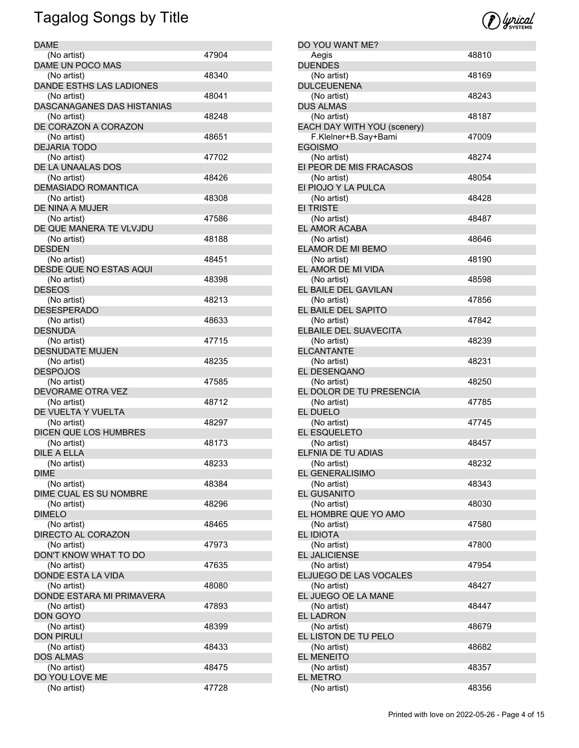| <b>DAME</b>                |       |
|----------------------------|-------|
| (No artist)                | 47904 |
| DAME UN POCO MAS           |       |
| (No artist)                | 48340 |
| DANDE ESTHS LAS LADIONES   |       |
| (No artist)                | 48041 |
| DASCANAGANES DAS HISTANIAS |       |
|                            |       |
| (No artist)                | 48248 |
| DE CORAZON A CORAZON       |       |
| (No artist)                | 48651 |
| <b>DEJARIA TODO</b>        |       |
| (No artist)                | 47702 |
| DE LA UNAALAS DOS          |       |
| (No artist)                | 48426 |
| <b>DEMASIADO ROMANTICA</b> |       |
| (No artist)                | 48308 |
| DE NINA A MUJER            |       |
| (No artist)                | 47586 |
| DE QUE MANERA TE VLVJDU    |       |
|                            |       |
| (No artist)                | 48188 |
| <b>DESDEN</b>              |       |
| (No artist)                | 48451 |
| DESDE QUE NO ESTAS AQUI    |       |
| (No artist)                | 48398 |
| <b>DESEOS</b>              |       |
| (No artist)                | 48213 |
| <b>DESESPERADO</b>         |       |
| (No artist)                | 48633 |
| DESNUDA                    |       |
|                            |       |
| (No artist)                | 47715 |
| <b>DESNUDATE MUJEN</b>     |       |
| (No artist)                | 48235 |
| <b>DESPOJOS</b>            |       |
| (No artist)                | 47585 |
| DEVORAME OTRA VEZ          |       |
| (No artist)                | 48712 |
| DE VUELTA Y VUELTA         |       |
| (No artist)                | 48297 |
| DICEN QUE LOS HUMBRES      |       |
| (No artist)                | 48173 |
| DILE A ELLA                |       |
|                            |       |
| (No artist)                | 48233 |
| <b>DIME</b>                |       |
| (No artist)                | 48384 |
| DIME CUAL ES SU NOMBRE     |       |
| (No artist)                | 48296 |
| <b>DIMELO</b>              |       |
| (No artist)                | 48465 |
| <b>DIRECTO AL CORAZON</b>  |       |
| (No artist)                | 47973 |
| DON'T KNOW WHAT TO DO      |       |
| (No artist)                | 47635 |
| DONDE ESTA LA VIDA         |       |
|                            |       |
| (No artist)                | 48080 |
| DONDE ESTARA MI PRIMAVERA  |       |
| (No artist)                | 47893 |
| <b>DON GOYO</b>            |       |
| (No artist)                | 48399 |
| <b>DON PIRULI</b>          |       |
| (No artist)                | 48433 |
| <b>DOS ALMAS</b>           |       |
| (No artist)                | 48475 |
| DO YOU LOVE ME             |       |
| (No artist)                | 47728 |
|                            |       |



| DO YOU WANT ME?                                                                    |       |
|------------------------------------------------------------------------------------|-------|
| Aegis                                                                              | 48810 |
| <b>DUENDES</b>                                                                     |       |
| (No artist)                                                                        | 48169 |
| DULCEUENENA                                                                        |       |
| (No artist)                                                                        | 48243 |
| <b>DUS ALMAS</b>                                                                   |       |
| (No artist)                                                                        | 48187 |
| EACH DAY WITH YOU (scenery)                                                        |       |
| F.Klelner+B.Say+Bami                                                               | 47009 |
| EGOISMO                                                                            |       |
|                                                                                    | 48274 |
| (No artist)                                                                        |       |
| EI PEOR DE MIS FRACASOS                                                            |       |
| (No artist)                                                                        | 48054 |
| EI PIOJO Y LA PULCA                                                                |       |
| (No artist)                                                                        | 48428 |
| <b>EI TRISTE</b>                                                                   |       |
| (No artist)                                                                        | 48487 |
| EL AMOR ACABA                                                                      |       |
| (No artist)                                                                        | 48646 |
| ELAMOR DE MI BEMO                                                                  |       |
| (No artist)                                                                        | 48190 |
| EL AMOR DE MI VIDA                                                                 |       |
| (No artist)                                                                        | 48598 |
| EL BAILE DEL GAVILAN                                                               |       |
| (No artist)                                                                        | 47856 |
| EL BAILE DEL SAPITO                                                                |       |
| (No artist)                                                                        | 47842 |
| ELBAILE DEL SUAVECITA                                                              |       |
| (No artist)                                                                        | 48239 |
| <b>ELCANTANTE</b>                                                                  |       |
|                                                                                    |       |
| (No artist)                                                                        | 48231 |
| EL DESENQANO                                                                       |       |
| (No artist)                                                                        | 48250 |
| EL DOLOR DE TU PRESENCIA                                                           |       |
| (No artist)                                                                        | 47785 |
| EL DUELO                                                                           |       |
| (No artist)                                                                        | 47745 |
| EL ESQUELETO                                                                       |       |
| (No artist)                                                                        | 48457 |
| ELFNIA DE TU ADIAS                                                                 |       |
| (No artist)                                                                        | 48232 |
| EL GENERALISIMO                                                                    |       |
| (No artist)                                                                        | 48343 |
|                                                                                    |       |
| <b>EL GUSANITO</b>                                                                 |       |
| (No artist)                                                                        | 48030 |
|                                                                                    |       |
| EL HOMBRE QUE YO AMO<br>(No artist)                                                | 47580 |
| <b>EL IDIOTA</b>                                                                   |       |
| (No artist)                                                                        | 47800 |
|                                                                                    |       |
|                                                                                    | 47954 |
| (No artist)                                                                        |       |
|                                                                                    | 48427 |
| (No artist)                                                                        |       |
|                                                                                    |       |
| (No artist)                                                                        | 48447 |
| EL JALICIENSE<br>ELJUEGO DE LAS VOCALES<br>EL JUEGO OE LA MANE<br><b>EL LADRON</b> |       |
| (No artist)                                                                        | 48679 |
| EL LISTON DE TU PELO                                                               |       |
| (No artist)                                                                        | 48682 |
| <b>EL MENEITO</b>                                                                  |       |
| (No artist)                                                                        | 48357 |
| EL METRO<br>(No artist)                                                            | 48356 |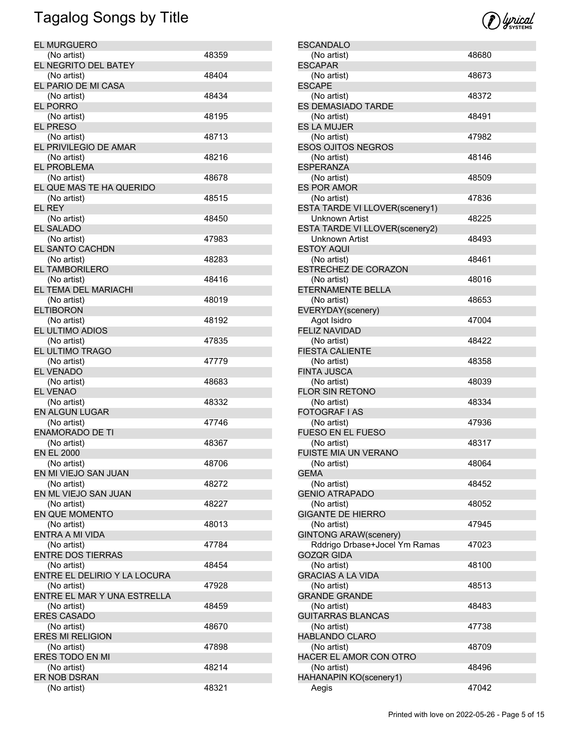| <b>EL MURGUERO</b>                |       |
|-----------------------------------|-------|
| (No artist)                       | 48359 |
| EL NEGRITO DEL BATEY              |       |
| (No artist)                       | 48404 |
| EL PARIO DE MI CASA               |       |
| (No artist)                       | 48434 |
| <b>EL PORRO</b>                   |       |
| (No artist)                       | 48195 |
| <b>EL PRESO</b>                   |       |
| (No artist)                       | 48713 |
| EL PRIVILEGIO DE AMAR             |       |
| (No artist)                       | 48216 |
| <b>EL PROBLEMA</b>                |       |
| (No artist)                       | 48678 |
| EL QUE MAS TE HA QUERIDO          |       |
| (No artist)                       | 48515 |
| <b>EL REY</b>                     |       |
| (No artist)                       | 48450 |
| <b>EL SALADO</b>                  |       |
| (No artist)                       | 47983 |
| EL SANTO CACHDN                   |       |
| (No artist)                       | 48283 |
| EL TAMBORILERO                    |       |
| (No artist)                       | 48416 |
| EL TEMA DEL MARIACHI              |       |
| (No artist)                       | 48019 |
| <b>ELTIBORON</b>                  |       |
| (No artist)                       | 48192 |
| EL ULTIMO ADIOS                   |       |
| (No artist)                       | 47835 |
| EL ULTIMO TRAGO                   |       |
| (No artist)                       | 47779 |
| <b>EL VENADO</b>                  |       |
| (No artist)                       | 48683 |
| <b>EL VENAO</b>                   |       |
| (No artist)                       | 48332 |
| EN ALGUN LUGAR                    |       |
| (No artist)                       | 47746 |
| <b>ENAMORADO DE TI</b>            |       |
| (No artist)                       | 48367 |
| <b>EN EL 2000</b>                 |       |
| (No artist)                       | 48706 |
| EN MI VIEJO SAN JUAN              |       |
| (No artist)                       | 48272 |
| EN ML VIEJO SAN JUAN              |       |
| (No artist)                       | 48227 |
| <b>EN QUE MOMENTO</b>             |       |
| (No artist)                       | 48013 |
| <b>ENTRA A MI VIDA</b>            |       |
| (No artist)                       | 47784 |
| <b>ENTRE DOS TIERRAS</b>          |       |
| (No artist)                       | 48454 |
| ENTRE EL DELIRIO Y LA LOCURA      |       |
| (No artist)                       | 47928 |
| ENTRE EL MAR Y UNA ESTRELLA       |       |
| (No artist)<br><b>ERES CASADO</b> | 48459 |
| (No artist)                       | 48670 |
| ERES MI RELIGION                  |       |
| (No artist)                       | 47898 |
| ERES TODO EN MI                   |       |
| (No artist)                       | 48214 |
| ER NOB DSRAN                      |       |
| (No artist)                       | 48321 |
|                                   |       |



| <b>ESCANDALO</b>               |       |
|--------------------------------|-------|
| (No artist)                    | 48680 |
| <b>FSCAPAR</b>                 |       |
| (No artist)                    | 48673 |
| <b>ESCAPE</b>                  |       |
|                                |       |
| (No artist)                    | 48372 |
| <b>ES DEMASIADO TARDE</b>      |       |
| (No artist)                    | 48491 |
| <b>ES LA MUJER</b>             |       |
| (No artist)                    | 47982 |
| <b>ESOS OJITOS NEGROS</b>      |       |
|                                |       |
| (No artist)                    | 48146 |
| <b>ESPERANZA</b>               |       |
| (No artist)                    | 48509 |
| <b>ES POR AMOR</b>             |       |
| (No artist)                    | 47836 |
|                                |       |
| ESTA TARDE VI LLOVER(scenery1) |       |
| Unknown Artist                 | 48225 |
| ESTA TARDE VI LLOVER(scenery2) |       |
| Unknown Artist                 | 48493 |
| <b>ESTOY AQUI</b>              |       |
|                                | 48461 |
| (No artist)                    |       |
| <b>ESTRECHEZ DE CORAZON</b>    |       |
| (No artist)                    | 48016 |
| ETERNAMENTE BELLA              |       |
| (No artist)                    | 48653 |
| EVERYDAY(scenery)              |       |
|                                |       |
| Agot Isidro                    | 47004 |
| <b>FELIZ NAVIDAD</b>           |       |
| (No artist)                    | 48422 |
| <b>FIESTA CALIENTE</b>         |       |
| (No artist)                    | 48358 |
|                                |       |
| <b>FINTA JUSCA</b>             |       |
| (No artist)                    | 48039 |
| <b>FLOR SIN RETONO</b>         |       |
| (No artist)                    | 48334 |
| <b>FOTOGRAF I AS</b>           |       |
| (No artist)                    |       |
|                                | 47936 |
| <b>FUESO EN EL FUESO</b>       |       |
| (No artist)                    | 48317 |
| <b>FUISTE MIA UN VERANO</b>    |       |
| (No artist)                    | 48064 |
| <b>GEMA</b>                    |       |
|                                |       |
| (No artist)                    | 48452 |
| <b>GENIO ATRAPADO</b>          |       |
| (No artist)                    | 48052 |
| <b>GIGANTE DE HIERRO</b>       |       |
| (No artist)                    | 47945 |
|                                |       |
| <b>GINTONG ARAW(scenery)</b>   |       |
| Rddrigo Drbase+Jocel Ym Ramas  | 47023 |
| <b>GOZQR GIDA</b>              |       |
| (No artist)                    | 48100 |
| <b>GRACIAS A LA VIDA</b>       |       |
|                                |       |
| (No artist)                    | 48513 |
| <b>GRANDE GRANDE</b>           |       |
| (No artist)                    | 48483 |
| <b>GUITARRAS BLANCAS</b>       |       |
| (No artist)                    | 47738 |
| <b>HABLANDO CLARO</b>          |       |
|                                |       |
| (No artist)                    | 48709 |
| HACER EL AMOR CON OTRO         |       |
| (No artist)                    | 48496 |
| HAHANAPIN KO(scenery1)         |       |
| Aegis                          | 47042 |
|                                |       |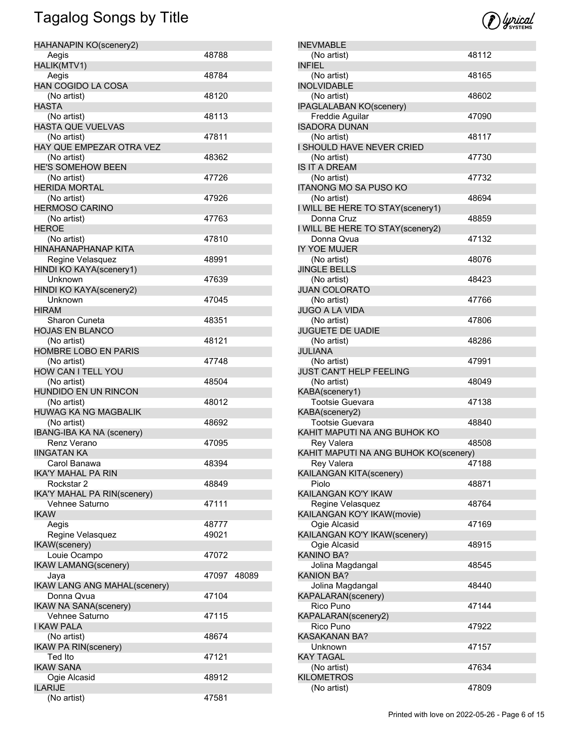| HAHANAPIN KO(scenery2)                     |             |  |
|--------------------------------------------|-------------|--|
| Aegis                                      | 48788       |  |
| HALIK(MTV1)                                |             |  |
| Aegis                                      | 48784       |  |
| <b>HAN COGIDO LA COSA</b>                  |             |  |
| (No artist)                                | 48120       |  |
| <b>HASTA</b>                               |             |  |
| (No artist)                                | 48113       |  |
| <b>HASTA QUE VUELVAS</b>                   | 47811       |  |
| (No artist)<br>HAY QUE EMPEZAR OTRA VEZ    |             |  |
| (No artist)                                | 48362       |  |
| <b>HE'S SOMEHOW BEEN</b>                   |             |  |
| (No artist)                                | 47726       |  |
| <b>HERIDA MORTAL</b>                       |             |  |
| (No artist)                                | 47926       |  |
| <b>HERMOSO CARINO</b>                      |             |  |
| (No artist)                                | 47763       |  |
| <b>HEROE</b>                               |             |  |
| (No artist)                                | 47810       |  |
| <b>HINAHANAPHANAP KITA</b>                 |             |  |
| Regine Velasquez                           | 48991       |  |
| HINDI KO KAYA(scenery1)                    |             |  |
| Unknown                                    | 47639       |  |
| HINDI KO KAYA(scenery2)                    |             |  |
| Unknown                                    | 47045       |  |
| <b>HIRAM</b>                               |             |  |
| Sharon Cuneta                              | 48351       |  |
| <b>HOJAS EN BLANCO</b>                     |             |  |
| (No artist)                                | 48121       |  |
| HOMBRE LOBO EN PARIS                       |             |  |
| (No artist)                                | 47748       |  |
| HOW CAN I TELL YOU                         |             |  |
| (No artist)                                | 48504       |  |
| HUNDIDO EN UN RINCON                       |             |  |
| (No artist)<br><b>HUWAG KA NG MAGBALIK</b> | 48012       |  |
| (No artist)                                | 48692       |  |
| <b>IBANG-IBA KA NA (scenery)</b>           |             |  |
| Renz Verano                                | 47095       |  |
| <b>IINGATAN KA</b>                         |             |  |
| Carol Banawa                               | 48394       |  |
| <b>IKA'Y MAHAL PA RIN</b>                  |             |  |
| Rockstar 2                                 | 48849       |  |
| <b>IKA'Y MAHAL PA RIN(scenery)</b>         |             |  |
| Vehnee Saturno                             | 47111       |  |
| <b>IKAW</b>                                |             |  |
| Aegis                                      | 48777       |  |
| Regine Velasquez                           | 49021       |  |
| <b>IKAW</b> (scenery)                      |             |  |
| Louie Ocampo                               | 47072       |  |
| <b>IKAW LAMANG(scenery)</b>                |             |  |
| Jaya                                       | 47097 48089 |  |
| <b>IKAW LANG ANG MAHAL(scenery)</b>        |             |  |
| Donna Qvua                                 | 47104       |  |
| <b>IKAW NA SANA(scenery)</b>               |             |  |
| Vehnee Saturno                             | 47115       |  |
| <b>I KAW PALA</b>                          |             |  |
| (No artist)                                | 48674       |  |
| <b>IKAW PA RIN(scenery)</b>                |             |  |
| Ted Ito                                    | 47121       |  |
| <b>IKAW SANA</b>                           |             |  |
| Ogie Alcasid                               | 48912       |  |
| <b>ILARIJE</b>                             |             |  |
| (No artist)                                | 47581       |  |



| <b>INEVMABLE</b>                      |       |
|---------------------------------------|-------|
|                                       | 48112 |
| (No artist)<br><b>INFIEL</b>          |       |
| (No artist)                           | 48165 |
| <b>INOLVIDABLE</b>                    |       |
| (No artist)                           | 48602 |
| <b>IPAGLALABAN KO(scenery)</b>        |       |
| Freddie Aguilar                       | 47090 |
| <b>ISADORA DUNAN</b>                  |       |
| (No artist)                           | 48117 |
| I SHOULD HAVE NEVER CRIED             |       |
| (No artist)                           | 47730 |
| <b>IS IT A DREAM</b>                  |       |
| (No artist)                           | 47732 |
| <b>ITANONG MO SA PUSO KO</b>          |       |
| (No artist)                           | 48694 |
| I WILL BE HERE TO STAY(scenery1)      |       |
| Donna Cruz                            | 48859 |
| I WILL BE HERE TO STAY(scenery2)      |       |
| Donna Qvua                            | 47132 |
| IY YOE MUJER                          |       |
| (No artist)                           | 48076 |
| <b>JINGLE BELLS</b>                   |       |
| (No artist)                           | 48423 |
| <b>JUAN COLORATO</b>                  |       |
| (No artist)                           | 47766 |
| <b>JUGO A LA VIDA</b>                 |       |
| (No artist)                           | 47806 |
| <b>JUGUETE DE UADIE</b>               |       |
| (No artist)                           | 48286 |
| <b>JULIANA</b>                        |       |
| (No artist)                           | 47991 |
| <b>JUST CAN'T HELP FEELING</b>        |       |
| (No artist)                           | 48049 |
| KABA(scenery1)                        |       |
| <b>Tootsie Guevara</b>                | 47138 |
| KABA(scenery2)                        |       |
| Tootsie Guevara                       | 48840 |
| KAHIT MAPUTI NA ANG BUHOK KO          |       |
| <b>Rey Valera</b>                     | 48508 |
| KAHIT MAPUTI NA ANG BUHOK KO(scenery) |       |
| Rey Valera                            | 47188 |
| KAILANGAN KITA(scenery)               |       |
| Piolo                                 | 48871 |
| KAILANGAN KO'Y IKAW                   |       |
| Regine Velasquez                      | 48764 |
| KAILANGAN KO'Y IKAW(movie)            |       |
| Ogie Alcasid                          | 47169 |
| KAILANGAN KO'Y IKAW(scenery)          |       |
| Ogie Alcasid                          | 48915 |
| <b>KANINO BA?</b>                     |       |
| Jolina Magdangal                      | 48545 |
| <b>KANION BA?</b>                     |       |
| Jolina Magdangal                      | 48440 |
| KAPALARAN(scenery)                    |       |
| Rico Puno                             | 47144 |
| KAPALARAN(scenery2)                   |       |
| Rico Puno                             | 47922 |
| <b>KASAKANAN BA?</b>                  |       |
| Unknown                               | 47157 |
| <b>KAY TAGAL</b>                      |       |
| (No artist)                           | 47634 |
| <b>KILOMETROS</b>                     |       |
| (No artist)                           | 47809 |
|                                       |       |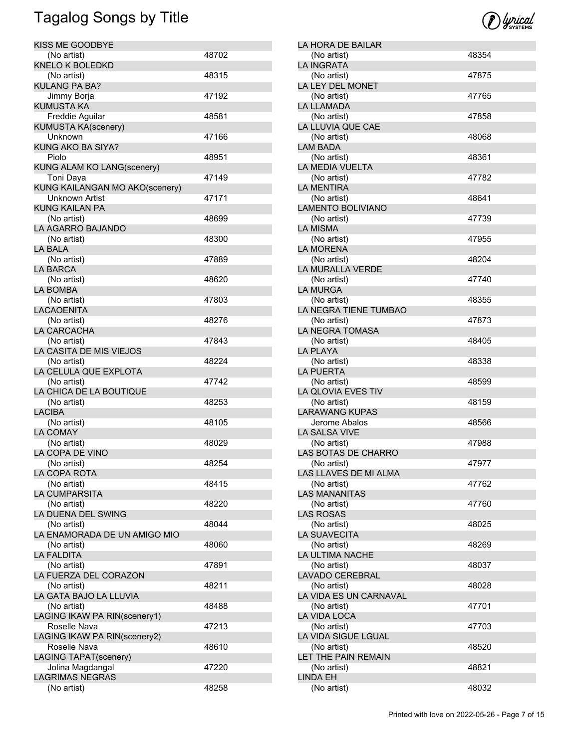| KISS ME GOODBYE                   |       |
|-----------------------------------|-------|
| (No artist)                       | 48702 |
| <b>KNELO K BOLEDKD</b>            |       |
| (No artist)                       | 48315 |
| <b>KULANG PA BA?</b>              |       |
| Jimmy Borja                       | 47192 |
| <b>KUMUSTA KA</b>                 |       |
| Freddie Aguilar                   | 48581 |
| <b>KUMUSTA KA(scenery)</b>        |       |
| Unknown                           | 47166 |
| KUNG AKO BA SIYA?                 |       |
| Piolo                             | 48951 |
| <b>KUNG ALAM KO LANG(scenery)</b> |       |
| Toni Daya                         | 47149 |
| KUNG KAILANGAN MO AKO(scenery)    |       |
| Unknown Artist                    | 47171 |
| <b>KUNG KAILAN PA</b>             |       |
| (No artist)                       | 48699 |
| LA AGARRO BAJANDO                 |       |
| (No artist)                       | 48300 |
| LA BALA                           |       |
| (No artist)                       | 47889 |
| <b>LA BARCA</b>                   |       |
| (No artist)                       | 48620 |
| <b>LA BOMBA</b>                   |       |
| (No artist)                       | 47803 |
| <b>LACAOENITA</b>                 |       |
| (No artist)                       | 48276 |
| LA CARCACHA                       |       |
| (No artist)                       | 47843 |
| LA CASITA DE MIS VIEJOS           |       |
| (No artist)                       | 48224 |
| LA CELULA QUE EXPLOTA             |       |
| (No artist)                       | 47742 |
| LA CHICA DE LA BOUTIQUE           |       |
| (No artist)                       | 48253 |
| <b>LACIBA</b>                     |       |
| (No artist)                       | 48105 |
| <b>LA COMAY</b>                   |       |
| (No artist)                       | 48029 |
| LA COPA DE VINO                   |       |
| (No artist)                       | 48254 |
| LA COPA ROTA                      |       |
| (No artist)                       | 48415 |
| LA CUMPARSITA                     |       |
| (No artist)                       | 48220 |
| LA DUENA DEL SWING                |       |
| (No artist)                       | 48044 |
| LA ENAMORADA DE UN AMIGO MIO      |       |
| (No artist)                       | 48060 |
| <b>LA FALDITA</b>                 |       |
| (No artist)                       | 47891 |
| LA FUERZA DEL CORAZON             |       |
| (No artist)                       | 48211 |
| LA GATA BAJO LA LLUVIA            |       |
| (No artist)                       | 48488 |
| LAGING IKAW PA RIN(scenery1)      |       |
| Roselle Nava                      | 47213 |
| LAGING IKAW PA RIN(scenery2)      |       |
| Roselle Nava                      | 48610 |
| <b>LAGING TAPAT(scenery)</b>      |       |
| Jolina Magdangal                  | 47220 |
| <b>LAGRIMAS NEGRAS</b>            |       |
| (No artist)                       | 48258 |
|                                   |       |



| LA HORA DE BAILAR        |       |
|--------------------------|-------|
| (No artist)              | 48354 |
| <b>LA INGRATA</b>        |       |
| (No artist)              | 47875 |
| LA LEY DEL MONET         |       |
| (No artist)              | 47765 |
| LA LLAMADA               |       |
| (No artist)              | 47858 |
| LA LLUVIA QUE CAE        |       |
| (No artist)              | 48068 |
| <b>LAM BADA</b>          |       |
| (No artist)              | 48361 |
| LA MEDIA VUELTA          |       |
| (No artist)              | 47782 |
| <b>LA MENTIRA</b>        |       |
| (No artist)              | 48641 |
| <b>LAMENTO BOLIVIANO</b> |       |
| (No artist)              | 47739 |
| LA MISMA                 |       |
| (No artist)              | 47955 |
| <b>LA MORENA</b>         |       |
| (No artist)              | 48204 |
| LA MURALLA VERDE         |       |
| (No artist)              | 47740 |
| <b>LA MURGA</b>          |       |
| (No artist)              | 48355 |
| LA NEGRA TIENE TUMBAO    |       |
| (No artist)              | 47873 |
| LA NEGRA TOMASA          |       |
| (No artist)              | 48405 |
| <b>LA PLAYA</b>          |       |
| (No artist)              | 48338 |
| <b>LA PUERTA</b>         |       |
| (No artist)              | 48599 |
| LA QLOVIA EVES TIV       |       |
| (No artist)              | 48159 |
| <b>LARAWANG KUPAS</b>    |       |
| Jerome Abalos            | 48566 |
| <b>LA SALSA VIVE</b>     |       |
| (No artist)              | 47988 |
| LAS BOTAS DE CHARRO      |       |
| (No artist)              | 47977 |
| LAS LLAVES DE MI ALMA    |       |
| (No artist)              | 47762 |
| <b>LAS MANANITAS</b>     |       |
| (No artist)              | 47760 |
| <b>LAS ROSAS</b>         |       |
| (No artist)              | 48025 |
| LA SUAVECITA             |       |
| (No artist)              | 48269 |
| LA ULTIMA NACHE          |       |
| (No artist)              | 48037 |
| LAVADO CEREBRAL          |       |
| (No artist)              | 48028 |
| LA VIDA ES UN CARNAVAL   |       |
|                          |       |
| (No artist)              | 47701 |
| LA VIDA LOCA             |       |
| (No artist)              | 47703 |
| LA VIDA SIGUE LGUAL      |       |
| (No artist)              | 48520 |
| LET THE PAIN REMAIN      |       |
|                          |       |
| (No artist)              | 48821 |
| LINDA EH<br>(No artist)  | 48032 |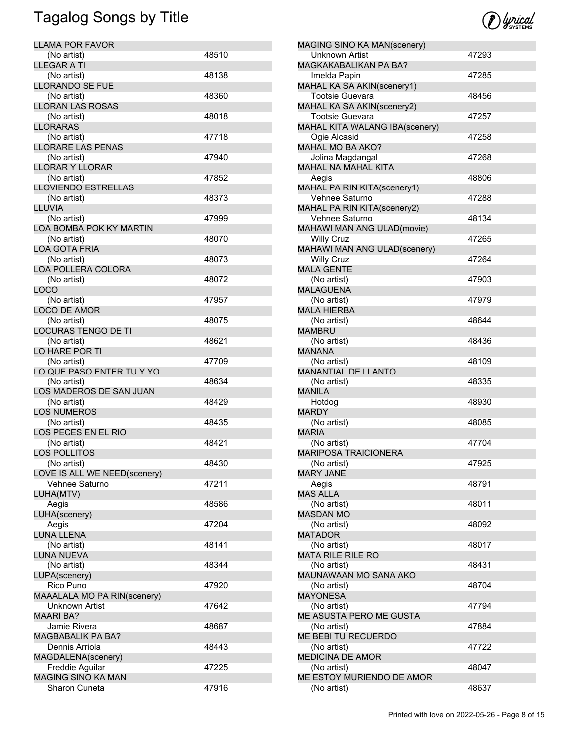| <b>LLAMA POR FAVOR</b>       |       |
|------------------------------|-------|
| (No artist)                  | 48510 |
| <b>LLEGAR A TI</b>           |       |
| (No artist)                  | 48138 |
| <b>LLORANDO SE FUE</b>       |       |
| (No artist)                  | 48360 |
| <b>LLORAN LAS ROSAS</b>      |       |
| (No artist)                  | 48018 |
| <b>LLORARAS</b>              |       |
| (No artist)                  | 47718 |
| LLORARE LAS PENAS            |       |
| (No artist)                  | 47940 |
| <b>LLORAR Y LLORAR</b>       |       |
| (No artist)                  | 47852 |
| <b>LLOVIENDO ESTRELLAS</b>   |       |
| (No artist)                  | 48373 |
| LLUVIA                       |       |
| (No artist)                  | 47999 |
| LOA BOMBA POK KY MARTIN      |       |
| (No artist)                  | 48070 |
| <b>LOA GOTA FRIA</b>         |       |
| (No artist)                  | 48073 |
| <b>LOA POLLERA COLORA</b>    |       |
| (No artist)                  | 48072 |
| LOCO                         |       |
| (No artist)                  | 47957 |
| <b>LOCO DE AMOR</b>          |       |
| (No artist)                  | 48075 |
| <b>LOCURAS TENGO DE TI</b>   |       |
| (No artist)                  | 48621 |
| LO HARE POR TI               |       |
| (No artist)                  | 47709 |
| LO QUE PASO ENTER TU Y YO    |       |
| (No artist)                  | 48634 |
| LOS MADEROS DE SAN JUAN      |       |
| (No artist)                  | 48429 |
| <b>LOS NUMEROS</b>           |       |
| (No artist)                  | 48435 |
| LOS PECES EN EL RIO          |       |
| (No artist)                  | 48421 |
| <b>LOS POLLITOS</b>          |       |
| (No artist)                  | 48430 |
| LOVE IS ALL WE NEED(scenery) |       |
| Vehnee Saturno               | 47211 |
| LUHA(MTV)                    |       |
| Aegis                        | 48586 |
| LUHA(scenery)                |       |
| Aegis                        | 47204 |
| LUNA LLENA                   |       |
| (No artist)                  | 48141 |
| <b>LUNA NUEVA</b>            |       |
| (No artist)                  | 48344 |
| LUPA(scenery)                |       |
| Rico Puno                    | 47920 |
| MAAALALA MO PA RIN(scenery)  |       |
| Unknown Artist               | 47642 |
| <b>MAARI BA?</b>             |       |
| Jamie Rivera                 | 48687 |
| <b>MAGBABALIK PA BA?</b>     |       |
| Dennis Arriola               | 48443 |
| MAGDALENA(scenery)           |       |
| Freddie Aguilar              | 47225 |
| <b>MAGING SINO KA MAN</b>    |       |
| Sharon Cuneta                | 47916 |
|                              |       |



| MAGING SINO KA MAN(scenery)                |       |
|--------------------------------------------|-------|
| <b>Unknown Artist</b>                      | 47293 |
| MAGKAKABALIKAN PA BA?                      |       |
| Imelda Papin                               | 47285 |
| MAHAL KA SA AKIN(scenery1)                 |       |
| Tootsie Guevara                            | 48456 |
| MAHAL KA SA AKIN(scenery2)                 |       |
| Tootsie Guevara                            | 47257 |
| MAHAL KITA WALANG IBA(scenery)             |       |
| Ogie Alcasid                               | 47258 |
| MAHAL MO BA AKO?                           |       |
| Jolina Magdangal                           | 47268 |
| MAHAL NA MAHAL KITA                        |       |
| Aegis                                      | 48806 |
| MAHAL PA RIN KITA(scenery1)                |       |
| Vehnee Saturno                             | 47288 |
| MAHAL PA RIN KITA(scenery2)                |       |
| Vehnee Saturno                             | 48134 |
| <b>MAHAWI MAN ANG ULAD(movie)</b>          |       |
| <b>Willy Cruz</b>                          | 47265 |
| MAHAWI MAN ANG ULAD(scenery)               |       |
| <b>Willy Cruz</b>                          | 47264 |
| <b>MALA GENTE</b>                          |       |
| (No artist)                                | 47903 |
| <b>MALAGUENA</b>                           |       |
| (No artist)                                | 47979 |
| <b>MALA HIERBA</b>                         |       |
| (No artist)                                | 48644 |
| <b>MAMBRU</b>                              |       |
| (No artist)                                | 48436 |
| <b>MANANA</b>                              |       |
|                                            | 48109 |
| (No artist)<br>MANANTIAL DE LLANTO         |       |
|                                            | 48335 |
| (No artist)<br><b>MANILA</b>               |       |
|                                            |       |
| Hotdog<br><b>MARDY</b>                     | 48930 |
|                                            |       |
| (No artist)<br><b>MARIA</b>                | 48085 |
|                                            |       |
| (No artist)<br><b>MARIPOSA TRAICIONERA</b> | 47704 |
|                                            |       |
| (No artist)                                | 47925 |
| <b>MARY JANE</b>                           |       |
| Aegis                                      | 48791 |
| <b>MAS ALLA</b>                            |       |
| (No artist)                                | 48011 |
| <b>MASDAN MO</b>                           |       |
| (No artist)                                | 48092 |
| <b>MATADOR</b>                             |       |
| (No artist)                                | 48017 |
| <b>MATA RILE RILE RO</b>                   |       |
| (No artist)                                |       |
| MAUNAWAAN MO SANA AKO                      | 48431 |
| (No artist)                                |       |
|                                            | 48704 |
| <b>MAYONESA</b>                            |       |
| (No artist)                                | 47794 |
| ME ASUSTA PERO ME GUSTA                    |       |
| (No artist)                                | 47884 |
| ME BEBI TU RECUERDO                        |       |
| (No artist)                                | 47722 |
| <b>MEDICINA DE AMOR</b>                    |       |
| (No artist)                                | 48047 |
| ME ESTOY MURIENDO DE AMOR<br>(No artist)   |       |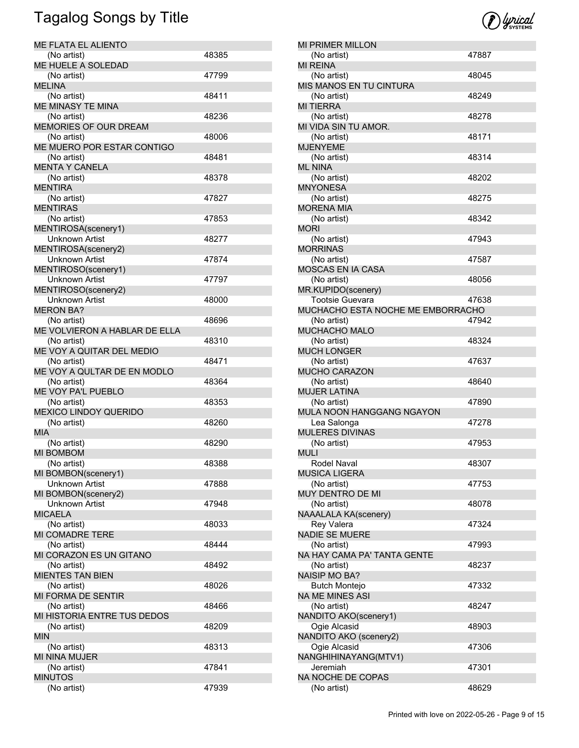| ME FLATA EL ALIENTO           |       |
|-------------------------------|-------|
| (No artist)                   | 48385 |
| ME HUELE A SOLEDAD            |       |
| (No artist)                   | 47799 |
| <b>MELINA</b>                 |       |
| (No artist)                   | 48411 |
| ME MINASY TE MINA             |       |
| (No artist)                   | 48236 |
| MEMORIES OF OUR DREAM         |       |
| (No artist)                   | 48006 |
| ME MUERO POR ESTAR CONTIGO    |       |
| (No artist)                   | 48481 |
| <b>MENTA Y CANELA</b>         |       |
| (No artist)                   | 48378 |
| <b>MENTIRA</b>                |       |
| (No artist)                   | 47827 |
| <b>MENTIRAS</b>               |       |
| (No artist)                   | 47853 |
| MENTIROSA(scenery1)           |       |
| <b>Unknown Artist</b>         | 48277 |
| MENTIROSA(scenery2)           |       |
| <b>Unknown Artist</b>         | 47874 |
| MENTIROSO(scenery1)           |       |
| <b>Unknown Artist</b>         | 47797 |
| MENTIROSO(scenery2)           |       |
| Unknown Artist                | 48000 |
| <b>MERON BA?</b>              |       |
| (No artist)                   | 48696 |
| ME VOLVIERON A HABLAR DE ELLA |       |
| (No artist)                   | 48310 |
| ME VOY A QUITAR DEL MEDIO     |       |
| (No artist)                   | 48471 |
| ME VOY A QULTAR DE EN MODLO   |       |
|                               |       |
|                               |       |
| (No artist)                   | 48364 |
| ME VOY PA'L PUEBLO            |       |
| (No artist)                   | 48353 |
| <b>MEXICO LINDOY QUERIDO</b>  |       |
| (No artist)                   | 48260 |
| <b>MIA</b>                    |       |
| (No artist)                   | 48290 |
| <b>MI BOMBOM</b>              |       |
| (No artist)                   | 48388 |
| MI BOMBON(scenery1)           |       |
| <b>Unknown Artist</b>         | 47888 |
| MI BOMBON(scenery2)           |       |
| <b>Unknown Artist</b>         | 47948 |
| <b>MICAELA</b>                |       |
| (No artist)                   | 48033 |
| MI COMADRE TERE               |       |
| (No artist)                   | 48444 |
| MI CORAZON ES UN GITANO       |       |
| (No artist)                   | 48492 |
| <b>MIENTES TAN BIEN</b>       |       |
| (No artist)                   | 48026 |
| MI FORMA DE SENTIR            |       |
| (No artist)                   | 48466 |
| MI HISTORIA ENTRE TUS DEDOS   |       |
| (No artist)                   | 48209 |
| <b>MIN</b>                    |       |
| (No artist)                   | 48313 |
| MI NINA MUJER                 |       |
| (No artist)                   | 47841 |
| <b>MINUTOS</b><br>(No artist) | 47939 |



| <b>MI PRIMER MILLON</b>                  |       |
|------------------------------------------|-------|
| (No artist)                              | 47887 |
| <b>MI REINA</b>                          |       |
| (No artist)                              | 48045 |
| MIS MANOS EN TU CINTURA                  |       |
|                                          | 48249 |
| (No artist)                              |       |
| <b>MI TIERRA</b>                         |       |
| (No artist)                              | 48278 |
| MI VIDA SIN TU AMOR.                     |       |
| (No artist)                              | 48171 |
| <b>MJENYEME</b>                          |       |
| (No artist)                              | 48314 |
| <b>ML NINA</b>                           |       |
| (No artist)                              | 48202 |
|                                          |       |
| <b>MNYONESA</b>                          |       |
| (No artist)                              | 48275 |
| <b>MORENA MIA</b>                        |       |
| (No artist)                              | 48342 |
| MORI                                     |       |
| (No artist)                              | 47943 |
| <b>MORRINAS</b>                          |       |
| (No artist)                              | 47587 |
| <b>MOSCAS EN IA CASA</b>                 |       |
|                                          |       |
| (No artist)                              | 48056 |
| MR.KUPIDO(scenery)                       |       |
| <b>Tootsie Guevara</b>                   | 47638 |
| MUCHACHO ESTA NOCHE ME EMBORRACHO        |       |
| (No artist)                              | 47942 |
| <b>MUCHACHO MALO</b>                     |       |
| (No artist)                              | 48324 |
| <b>MUCH LONGER</b>                       |       |
|                                          |       |
| (No artist)                              | 47637 |
| MUCHO CARAZON                            |       |
| (No artist)                              | 48640 |
| <b>MUJER LATINA</b>                      |       |
| (No artist)                              |       |
|                                          | 47890 |
|                                          |       |
| MULA NOON HANGGANG NGAYON                |       |
| Lea Salonga                              | 47278 |
| <b>MULERES DIVINAS</b>                   |       |
| (No artist)                              | 47953 |
| <b>MULI</b>                              |       |
| Rodel Naval                              | 48307 |
| MUSICA LIGERA                            |       |
| (No artist)                              | 47753 |
|                                          |       |
| MUY DENTRO DE MI                         |       |
| (No artist)                              | 48078 |
| <b>NAAALALA KA(scenery)</b>              |       |
| Rey Valera                               | 47324 |
| NADIE SE MUERE                           |       |
| (No artist)                              | 47993 |
| NA HAY CAMA PA' TANTA GENTE              |       |
| (No artist)                              | 48237 |
| <b>NAISIP MO BA?</b>                     |       |
|                                          |       |
| <b>Butch Montejo</b>                     | 47332 |
|                                          |       |
| (No artist)                              | 48247 |
| NA ME MINES ASI<br>NANDITO AKO(scenery1) |       |
| Ogie Alcasid                             | 48903 |
|                                          |       |
| NANDITO AKO (scenery2)<br>Ogie Alcasid   | 47306 |
|                                          |       |
| NANGHIHINAYANG(MTV1)                     |       |
| Jeremiah                                 | 47301 |
| NA NOCHE DE COPAS<br>(No artist)         | 48629 |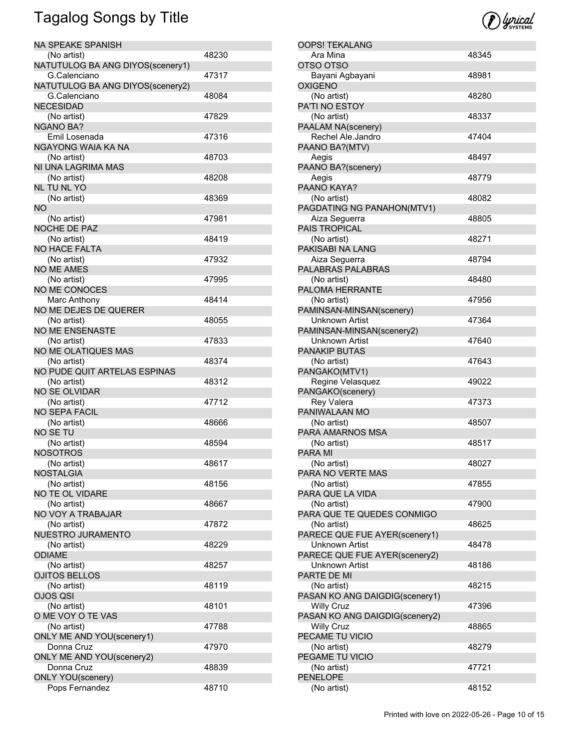| NA SPEAKE SPANISH                           |       |
|---------------------------------------------|-------|
| (No artist)                                 | 48230 |
| NATUTULOG BA ANG DIYOS(scenery1)            |       |
| G.Calenciano                                | 47317 |
|                                             |       |
| NATUTULOG BA ANG DIYOS(scenery2)            |       |
| G.Calenciano                                | 48084 |
| <b>NECESIDAD</b>                            |       |
| (No artist)                                 | 47829 |
| <b>NGANO BA?</b>                            |       |
| Emil Losenada                               | 47316 |
| NGAYONG WAIA KA NA                          |       |
| (No artist)                                 | 48703 |
| NI UNA LAGRIMA MAS                          |       |
| (No artist)                                 | 48208 |
| NL TU NL YO                                 |       |
| (No artist)                                 | 48369 |
| NO.                                         |       |
|                                             |       |
| (No artist)                                 | 47981 |
| NOCHE DE PAZ                                |       |
| (No artist)                                 | 48419 |
| <b>NO HACE FALTA</b>                        |       |
| (No artist)                                 | 47932 |
| <b>NO ME AMES</b>                           |       |
| (No artist)                                 | 47995 |
| NO ME CONOCES                               |       |
| Marc Anthony                                | 48414 |
| NO ME DEJES DE QUERER                       |       |
|                                             | 48055 |
| (No artist)                                 |       |
| <b>NO ME ENSENASTE</b>                      |       |
| (No artist)                                 | 47833 |
| NO ME OLATIQUES MAS                         |       |
| (No artist)                                 | 48374 |
| NO PUDE QUIT ARTELAS ESPINAS                |       |
| (No artist)                                 | 48312 |
| <b>NO SE OLVIDAR</b>                        |       |
| (No artist)                                 | 47712 |
| <b>NO SEPA FACIL</b>                        |       |
| (No artist)                                 | 48666 |
| NO SE TU                                    |       |
| (No artist)                                 | 48594 |
| <b>NOSOTROS</b>                             |       |
|                                             |       |
| (No artist)                                 | 48617 |
| <b>NOSTALGIA</b>                            |       |
| (No artist)                                 | 48156 |
| NO TE OL VIDARE                             |       |
| (No artist)                                 | 48667 |
| NO VOY A TRABAJAR                           |       |
| (No artist)                                 | 47872 |
| NUESTRO JURAMENTO                           |       |
| (No artist)                                 | 48229 |
| <b>ODIAME</b>                               |       |
| (No artist)                                 | 48257 |
| <b>OJITOS BELLOS</b>                        |       |
|                                             |       |
| (No artist)                                 | 48119 |
| OJOS QSI                                    |       |
| (No artist)                                 | 48101 |
| O ME VOY O TE VAS                           |       |
| (No artist)                                 | 47788 |
| ONLY ME AND YOU(scenery1)                   |       |
| Donna Cruz                                  | 47970 |
| ONLY ME AND YOU(scenery2)                   |       |
|                                             |       |
|                                             |       |
| Donna Cruz                                  | 48839 |
| <b>ONLY YOU</b> (scenery)<br>Pops Fernandez | 48710 |



| <b>OOPS! TEKALANG</b>          |       |
|--------------------------------|-------|
| Ara Mina                       | 48345 |
| OTSO OTSO                      |       |
| Bayani Agbayani                | 48981 |
| <b>OXIGENO</b>                 |       |
| (No artist)                    | 48280 |
|                                |       |
| <b>PA'TI NO ESTOY</b>          |       |
| (No artist)                    | 48337 |
| PAALAM NA(scenery)             |       |
| Rechel Ale.Jandro              | 47404 |
| PAANO BA?(MTV)                 |       |
|                                |       |
| Aegis                          | 48497 |
| PAANO BA?(scenery)             |       |
| Aegis                          | 48779 |
| PAANO KAYA?                    |       |
| (No artist)                    | 48082 |
| PAGDATING NG PANAHON(MTV1)     |       |
|                                |       |
| Aiza Seguerra                  | 48805 |
| <b>PAIS TROPICAL</b>           |       |
| (No artist)                    | 48271 |
| PAKISABI NA LANG               |       |
| Aiza Seguerra                  | 48794 |
|                                |       |
| PALABRAS PALABRAS              |       |
| (No artist)                    | 48480 |
| PALOMA HERRANTE                |       |
| (No artist)                    | 47956 |
| PAMINSAN-MINSAN(scenery)       |       |
|                                |       |
| Unknown Artist                 | 47364 |
| PAMINSAN-MINSAN(scenery2)      |       |
| Unknown Artist                 | 47640 |
| <b>PANAKIP BUTAS</b>           |       |
| (No artist)                    | 47643 |
|                                |       |
| PANGAKO(MTV1)                  |       |
| Regine Velasquez               | 49022 |
| PANGAKO(scenery)               |       |
| Rey Valera                     | 47373 |
| PANIWALAAN MO                  |       |
|                                | 48507 |
| (No artist)                    |       |
| PARA AMARNOS MSA               |       |
| (No artist)                    | 48517 |
| <b>PARA MI</b>                 |       |
| (No artist)                    | 48027 |
| PARA NO VERTE MAS              |       |
|                                |       |
| (No artist)                    | 47855 |
| PARA QUE LA VIDA               |       |
| (No artist)                    | 47900 |
| PARA QUE TE QUEDES CONMIGO     |       |
| (No artist)                    | 48625 |
|                                |       |
| PARECE QUE FUE AYER(scenery1)  |       |
| Unknown Artist                 | 48478 |
| PARECE QUE FUE AYER(scenery2)  |       |
| Unknown Artist                 | 48186 |
| PARTE DE MI                    |       |
|                                |       |
| (No artist)                    | 48215 |
| PASAN KO ANG DAIGDIG(scenery1) |       |
| <b>Willy Cruz</b>              | 47396 |
| PASAN KO ANG DAIGDIG(scenery2) |       |
| <b>Willy Cruz</b>              | 48865 |
| PECAME TU VICIO                |       |
|                                |       |
| (No artist)                    | 48279 |
| PEGAME TU VICIO                |       |
| (No artist)                    | 47721 |
| <b>PENELOPE</b>                |       |
| (No artist)                    | 48152 |
|                                |       |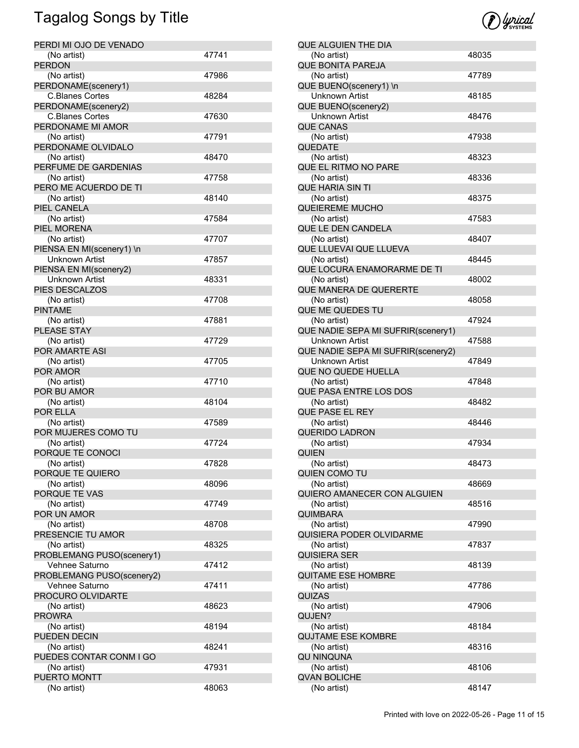| PERDI MI OJO DE VENADO      |       |
|-----------------------------|-------|
| (No artist)                 | 47741 |
| <b>PERDON</b>               |       |
| (No artist)                 | 47986 |
| PERDONAME(scenery1)         |       |
| <b>C.Blanes Cortes</b>      | 48284 |
| PERDONAME(scenery2)         |       |
| C.Blanes Cortes             | 47630 |
| PERDONAME MI AMOR           |       |
| (No artist)                 | 47791 |
| PERDONAME OLVIDALO          |       |
| (No artist)                 | 48470 |
| PERFUME DE GARDENIAS        |       |
| (No artist)                 | 47758 |
| PERO ME ACUERDO DE TI       |       |
| (No artist)                 | 48140 |
| PIEL CANELA<br>(No artist)  | 47584 |
| PIEL MORENA                 |       |
| (No artist)                 | 47707 |
| PIENSA EN MI(scenery1) \n   |       |
| <b>Unknown Artist</b>       | 47857 |
| PIENSA EN MI(scenery2)      |       |
| Unknown Artist              | 48331 |
| PIES DESCALZOS              |       |
| (No artist)                 | 47708 |
| <b>PINTAME</b>              |       |
| (No artist)                 | 47881 |
| PLEASE STAY                 |       |
| (No artist)                 | 47729 |
| POR AMARTE ASI              |       |
| (No artist)                 | 47705 |
| POR AMOR                    |       |
| (No artist)                 | 47710 |
| POR BU AMOR                 |       |
| (No artist)                 | 48104 |
| POR ELLA                    |       |
| (No artist)                 | 47589 |
| POR MUJERES COMO TU         |       |
| (No artist)                 | 47724 |
| PORQUE TE CONOCI            |       |
| (No artist)                 | 47828 |
| PORQUE TE QUIERO            |       |
| (No artist)                 | 48096 |
| PORQUE TE VAS               |       |
| (No artist)                 | 47749 |
| POR UN AMOR                 |       |
| (No artist)                 | 48708 |
| PRESENCIE TU AMOR           |       |
| (No artist)                 | 48325 |
| PROBLEMANG PUSO(scenery1)   |       |
| Vehnee Saturno              | 47412 |
| PROBLEMANG PUSO(scenery2)   |       |
| Vehnee Saturno              | 47411 |
| PROCURO OLVIDARTE           |       |
| (No artist)                 | 48623 |
| <b>PROWRA</b>               |       |
| (No artist)                 | 48194 |
| PUEDEN DECIN                |       |
| (No artist)                 | 48241 |
| PUEDES CONTAR CONM I GO     |       |
| (No artist)<br>PUERTO MONTT | 47931 |
|                             | 48063 |
| (No artist)                 |       |



| QUE ALGUIEN THE DIA                                  |       |
|------------------------------------------------------|-------|
| (No artist)                                          | 48035 |
| <b>QUE BONITA PAREJA</b>                             |       |
| (No artist)                                          | 47789 |
| QUE BUENO(scenery1) \n                               |       |
| <b>Unknown Artist</b>                                | 48185 |
| QUE BUENO(scenery2)                                  |       |
| <b>Unknown Artist</b>                                | 48476 |
| <b>QUE CANAS</b>                                     | 47938 |
| (No artist)<br><b>QUEDATE</b>                        |       |
| (No artist)                                          | 48323 |
| QUE EL RITMO NO PARE                                 |       |
| (No artist)                                          | 48336 |
| QUE HARIA SIN TI                                     |       |
| (No artist)                                          | 48375 |
| <b>QUEIEREME MUCHO</b>                               |       |
| (No artist)                                          | 47583 |
| QUE LE DEN CANDELA                                   |       |
| (No artist)                                          | 48407 |
| QUE LLUEVAI QUE LLUEVA                               |       |
| (No artist)                                          | 48445 |
| QUE LOCURA ENAMORARME DE TI                          |       |
| (No artist)                                          | 48002 |
| QUE MANERA DE QUERERTE                               |       |
| (No artist)                                          | 48058 |
| QUE ME QUEDES TU                                     |       |
| (No artist)                                          | 47924 |
| QUE NADIE SEPA MI SUFRIR(scenery1)                   |       |
| Unknown Artist                                       | 47588 |
| QUE NADIE SEPA MI SUFRIR(scenery2)<br>Unknown Artist | 47849 |
| QUE NO QUEDE HUELLA                                  |       |
| (No artist)                                          | 47848 |
| QUE PASA ENTRE LOS DOS                               |       |
| (No artist)                                          | 48482 |
| <b>QUE PASE EL REY</b>                               |       |
| (No artist)                                          | 48446 |
| <b>QUERIDO LADRON</b>                                |       |
| (No artist)                                          | 47934 |
| QUIEN                                                |       |
| (No artist)                                          | 48473 |
| QUIEN COMO TU                                        |       |
| (No artist)                                          | 48669 |
| QUIERO AMANECER CON ALGUIEN                          |       |
| (No artist)<br><b>QUIMBARA</b>                       | 48516 |
| (No artist)                                          | 47990 |
| QUISIERA PODER OLVIDARME                             |       |
| (No artist)                                          | 47837 |
| QUISIERA SER                                         |       |
| (No artist)                                          | 48139 |
| <b>QUITAME ESE HOMBRE</b>                            |       |
| (No artist)                                          | 47786 |
| QUIZAS                                               |       |
| (No artist)                                          | 47906 |
| QUJEN?                                               |       |
| (No artist)                                          | 48184 |
| <b>QUJTAME ESE KOMBRE</b>                            |       |
| (No artist)                                          | 48316 |
| QU NINQUNA                                           |       |
| (No artist)                                          | 48106 |
| <b>QVAN BOLICHE</b><br>(No artist)                   |       |
|                                                      | 48147 |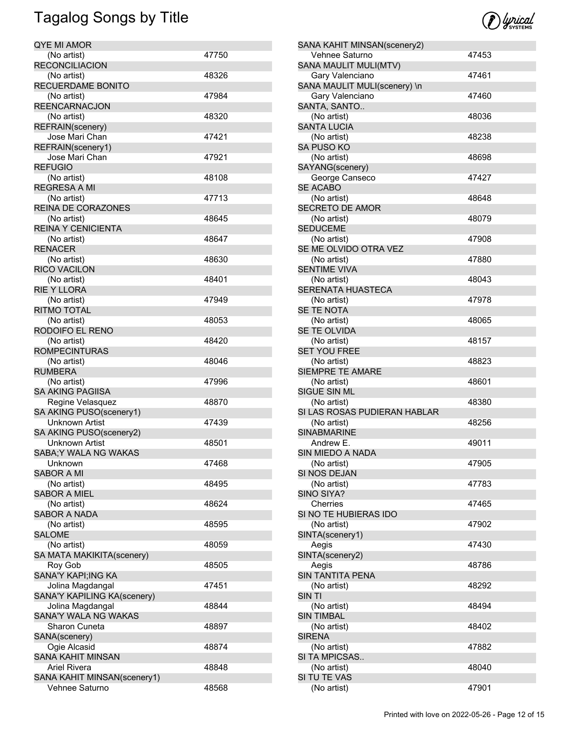| QYE MI AMOR                 |       |
|-----------------------------|-------|
| (No artist)                 | 47750 |
| <b>RECONCILIACION</b>       |       |
| (No artist)                 | 48326 |
| RECUERDAME BONITO           |       |
| (No artist)                 | 47984 |
| <b>REENCARNACJON</b>        |       |
| (No artist)                 | 48320 |
| REFRAIN(scenery)            |       |
| Jose Mari Chan              | 47421 |
| REFRAIN(scenery1)           |       |
| Jose Mari Chan              | 47921 |
| <b>REFUGIO</b>              |       |
| (No artist)                 | 48108 |
| <b>REGRESA A MI</b>         |       |
| (No artist)                 | 47713 |
| REINA DE CORAZONES          |       |
| (No artist)                 | 48645 |
| <b>REINA Y CENICIENTA</b>   |       |
| (No artist)                 | 48647 |
| <b>RENACER</b>              |       |
| (No artist)                 | 48630 |
| <b>RICO VACILON</b>         |       |
| (No artist)                 | 48401 |
| <b>RIE Y LLORA</b>          |       |
| (No artist)                 | 47949 |
| <b>RITMO TOTAL</b>          |       |
| (No artist)                 | 48053 |
| RODOIFO EL RENO             |       |
| (No artist)                 | 48420 |
| <b>ROMPECINTURAS</b>        |       |
| (No artist)                 | 48046 |
| <b>RUMBERA</b>              |       |
| (No artist)                 | 47996 |
| <b>SA AKING PAGIISA</b>     |       |
| Regine Velasquez            | 48870 |
| SA AKING PUSO(scenery1)     |       |
| Unknown Artist              | 47439 |
| SA AKING PUSO(scenery2)     |       |
| Unknown Artist              | 48501 |
| SABA; Y WALA NG WAKAS       |       |
| Unknown                     | 47468 |
| <b>SABOR A MI</b>           |       |
| (No artist)                 | 48495 |
| <b>SABOR A MIEL</b>         |       |
| (No artist)                 | 48624 |
| <b>SABOR A NADA</b>         |       |
| (No artist)                 | 48595 |
| <b>SALOME</b>               |       |
| (No artist)                 | 48059 |
| SA MATA MAKIKITA(scenery)   |       |
| Roy Gob                     | 48505 |
| SANA'Y KAPI; ING KA         |       |
| Jolina Magdangal            | 47451 |
| SANA'Y KAPILING KA(scenery) |       |
| Jolina Magdangal            | 48844 |
| SANA'Y WALA NG WAKAS        |       |
| Sharon Cuneta               | 48897 |
| SANA(scenery)               |       |
| Ogie Alcasid                | 48874 |
| SANA KAHIT MINSAN           |       |
| Ariel Rivera                | 48848 |
| SANA KAHIT MINSAN(scenery1) |       |
| Vehnee Saturno              | 48568 |
|                             |       |



| SANA KAHIT MINSAN(scenery2)  |       |
|------------------------------|-------|
| Vehnee Saturno               | 47453 |
| SANA MAULIT MULI(MTV)        |       |
| Gary Valenciano              | 47461 |
| SANA MAULIT MULI(scenery) \n |       |
| Gary Valenciano              | 47460 |
| SANTA, SANTO                 |       |
| (No artist)                  | 48036 |
| <b>SANTA LUCIA</b>           |       |
|                              |       |
| (No artist)                  | 48238 |
| <b>SA PUSO KO</b>            |       |
| (No artist)                  | 48698 |
| SAYANG(scenery)              |       |
| George Canseco               | 47427 |
| <b>SE ACABO</b>              |       |
|                              |       |
| (No artist)                  | 48648 |
| <b>SECRETO DE AMOR</b>       |       |
| (No artist)                  | 48079 |
| <b>SEDUCEME</b>              |       |
| (No artist)                  | 47908 |
| SE ME OLVIDO OTRA VEZ        |       |
|                              | 47880 |
| (No artist)                  |       |
| <b>SENTIME VIVA</b>          |       |
| (No artist)                  | 48043 |
| <b>SERENATA HUASTECA</b>     |       |
| (No artist)                  | 47978 |
| SE TE NOTA                   |       |
| (No artist)                  | 48065 |
|                              |       |
| SE TE OLVIDA                 |       |
| (No artist)                  | 48157 |
| <b>SET YOU FREE</b>          |       |
| (No artist)                  | 48823 |
| <b>SIEMPRE TE AMARE</b>      |       |
|                              | 48601 |
| (No artist)                  |       |
| SIGUE SIN ML                 |       |
| (No artist)                  | 48380 |
| SI LAS ROSAS PUDIERAN HABLAR |       |
| (No artist)                  | 48256 |
| <b>SINABMARINE</b>           |       |
| Andrew E.                    | 49011 |
|                              |       |
| <b>SIN MIEDO A NADA</b>      |       |
| (No artist)                  | 47905 |
| SI NOS DEJAN                 |       |
| (No artist)                  | 47783 |
| SINO SIYA?                   |       |
| Cherries                     | 47465 |
| SI NO TE HUBIERAS IDO        |       |
|                              | 47902 |
| (No artist)                  |       |
| SINTA(scenery1)              |       |
| Aegis                        | 47430 |
| SINTA(scenery2)              |       |
| Aegis                        | 48786 |
| <b>SIN TANTITA PENA</b>      |       |
|                              |       |
| (No artist)                  | 48292 |
| SIN TI                       |       |
| (No artist)                  | 48494 |
| <b>SIN TIMBAL</b>            |       |
| (No artist)                  | 48402 |
| <b>SIRENA</b>                |       |
|                              |       |
| (No artist)                  | 47882 |
| SI TA MPICSAS                |       |
| (No artist)                  | 48040 |
| SI TU TE VAS                 |       |
| (No artist)                  | 47901 |
|                              |       |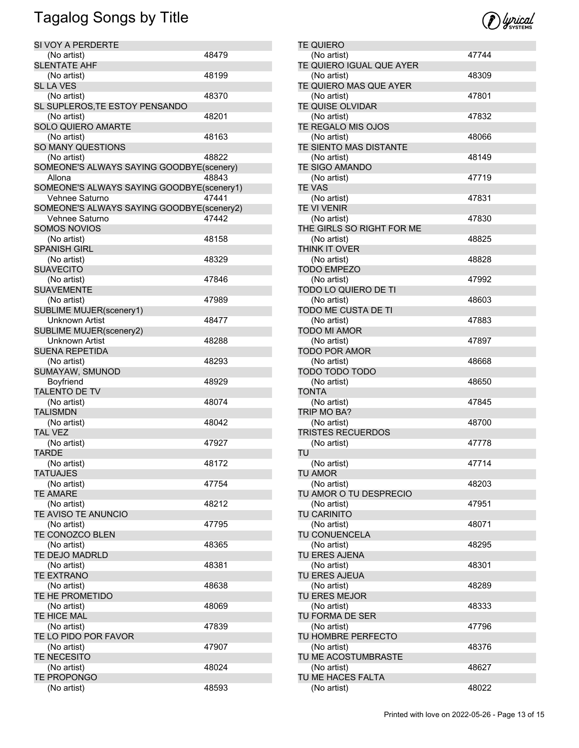| SI VOY A PERDERTE                         |       |
|-------------------------------------------|-------|
| (No artist)                               | 48479 |
| <b>SLENTATE AHF</b>                       |       |
| (No artist)                               | 48199 |
| <b>SL LA VES</b>                          |       |
| (No artist)                               | 48370 |
| SL SUPLEROS, TE ESTOY PENSANDO            |       |
| (No artist)                               | 48201 |
| SOLO QUIERO AMARTE                        |       |
| (No artist)                               | 48163 |
| SO MANY QUESTIONS                         |       |
| (No artist)                               | 48822 |
| SOMEONE'S ALWAYS SAYING GOODBYE(scenery)  |       |
| Allona                                    | 48843 |
| SOMEONE'S ALWAYS SAYING GOODBYE(scenery1) |       |
| Vehnee Saturno                            | 47441 |
| SOMEONE'S ALWAYS SAYING GOODBYE(scenery2) |       |
| Vehnee Saturno                            | 47442 |
| <b>SOMOS NOVIOS</b>                       |       |
| (No artist)                               | 48158 |
| <b>SPANISH GIRL</b>                       |       |
| (No artist)                               | 48329 |
| <b>SUAVECITO</b>                          |       |
| (No artist)                               | 47846 |
| <b>SUAVEMENTE</b>                         |       |
| (No artist)                               | 47989 |
| <b>SUBLIME MUJER(scenery1)</b>            |       |
| Unknown Artist                            | 48477 |
| SUBLIME MUJER(scenery2)                   |       |
| Unknown Artist                            | 48288 |
| <b>SUENA REPETIDA</b>                     |       |
| (No artist)                               | 48293 |
| SUMAYAW, SMUNOD                           |       |
| Boyfriend                                 | 48929 |
| <b>TALENTO DE TV</b>                      |       |
| (No artist)                               | 48074 |
| <b>TALISMDN</b>                           |       |
| (No artist)                               | 48042 |
| <b>TAL VEZ</b>                            |       |
| (No artist)                               | 47927 |
| <b>TARDE</b>                              |       |
| (No artist)                               | 48172 |
| <b>TATUAJES</b>                           |       |
| (No artist)                               | 47754 |
| <b>TE AMARE</b>                           |       |
| (No artist)<br>TE AVISO TE ANUNCIO        | 48212 |
|                                           | 47795 |
| (No artist)                               |       |
| TE CONOZCO BLEN<br>(No artist)            | 48365 |
| TE DEJO MADRLD                            |       |
| (No artist)                               | 48381 |
| <b>TE EXTRANO</b>                         |       |
| (No artist)                               | 48638 |
| TE HE PROMETIDO                           |       |
| (No artist)                               | 48069 |
| TE HICE MAL                               |       |
| (No artist)                               | 47839 |
| TE LO PIDO POR FAVOR                      |       |
| (No artist)                               | 47907 |
| TE NECESITO                               |       |
| (No artist)                               | 48024 |
| <b>TE PROPONGO</b>                        |       |
| (No artist)                               | 48593 |
|                                           |       |



| <b>TE QUIERO</b>            |       |
|-----------------------------|-------|
| (No artist)                 | 47744 |
| TE QUIERO IGUAL QUE AYER    |       |
| (No artist)                 | 48309 |
| TE QUIERO MAS QUE AYER      |       |
| (No artist)                 | 47801 |
| TE QUISE OLVIDAR            |       |
| (No artist)                 | 47832 |
| TE REGALO MIS OJOS          |       |
| (No artist)                 | 48066 |
| TE SIENTO MAS DISTANTE      |       |
| (No artist)                 | 48149 |
| TE SIGO AMANDO              |       |
| (No artist)                 | 47719 |
| <b>TE VAS</b>               |       |
| (No artist)                 | 47831 |
| TE VI VENIR                 |       |
| (No artist)                 | 47830 |
| THE GIRLS SO RIGHT FOR ME   |       |
| (No artist)                 | 48825 |
| THINK IT OVER               |       |
| (No artist)                 | 48828 |
| <b>TODO EMPEZO</b>          |       |
| (No artist)                 | 47992 |
| TODO LO QUIERO DE TI        |       |
| (No artist)                 | 48603 |
| TODO ME CUSTA DE TI         |       |
| (No artist)                 | 47883 |
| <b>TODO MI AMOR</b>         |       |
| (No artist)                 | 47897 |
| <b>TODO POR AMOR</b>        |       |
| (No artist)                 | 48668 |
| TODO TODO TODO              |       |
| (No artist)<br><b>TONTA</b> | 48650 |
| (No artist)                 | 47845 |
| TRIP MO BA?                 |       |
| (No artist)                 | 48700 |
| <b>TRISTES RECUERDOS</b>    |       |
| (No artist)                 | 47778 |
| TU                          |       |
| (No artist)                 | 47714 |
| TU AMOR                     |       |
| (No artist)                 | 48203 |
| TU AMOR O TU DESPRECIO      |       |
| (No artist)                 | 47951 |
| TU CARINITO                 |       |
| (No artist)                 | 48071 |
| TU CONUENCELA               |       |
| (No artist)                 | 48295 |
| TU ERES AJENA               |       |
| (No artist)                 | 48301 |
| TU ERES AJEUA               |       |
| (No artist)                 | 48289 |
| TU ERES MEJOR               |       |
| (No artist)                 | 48333 |
| TU FORMA DE SER             |       |
| (No artist)                 | 47796 |
| TU HOMBRE PERFECTO          |       |
| (No artist)                 | 48376 |
| TU ME ACOSTUMBRASTE         |       |
| (No artist)                 | 48627 |
|                             |       |
| TU ME HACES FALTA           |       |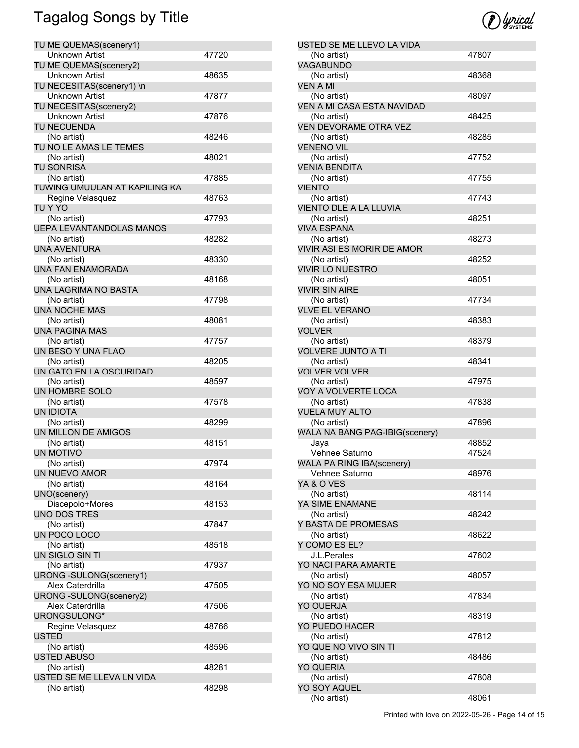| TU ME QUEMAS(scenery1)          |       |
|---------------------------------|-------|
| <b>Unknown Artist</b>           | 47720 |
| TU ME QUEMAS(scenery2)          |       |
| Unknown Artist                  | 48635 |
| TU NECESITAS(scenery1) \n       |       |
| Unknown Artist                  | 47877 |
| TU NECESITAS(scenery2)          |       |
| Unknown Artist                  | 47876 |
| TU NECUENDA                     |       |
| (No artist)                     | 48246 |
| TU NO LE AMAS LE TEMES          |       |
| (No artist)                     | 48021 |
| <b>TU SONRISA</b>               |       |
| (No artist)                     | 47885 |
| TUWING UMUULAN AT KAPILING KA   |       |
| Regine Velasquez                | 48763 |
| TU Y YO                         |       |
| (No artist)                     | 47793 |
| <b>UEPA LEVANTANDOLAS MANOS</b> |       |
| (No artist)                     | 48282 |
| <b>UNA AVENTURA</b>             |       |
| (No artist)                     | 48330 |
| UNA FAN ENAMORADA               |       |
| (No artist)                     | 48168 |
| UNA LAGRIMA NO BASTA            |       |
| (No artist)                     | 47798 |
| <b>UNA NOCHE MAS</b>            |       |
| (No artist)                     | 48081 |
| <b>UNA PAGINA MAS</b>           |       |
| (No artist)                     | 47757 |
| UN BESO Y UNA FLAO              |       |
| (No artist)                     | 48205 |
| UN GATO EN LA OSCURIDAD         |       |
| (No artist)                     | 48597 |
| UN HOMBRE SOLO                  |       |
| (No artist)                     | 47578 |
| <b>UN IDIOTA</b>                |       |
| (No artist)                     | 48299 |
| UN MILLON DE AMIGOS             |       |
| (No artist)                     | 48151 |
| UN MOTIVO                       |       |
| (No artist)                     | 47974 |
| UN NUEVO AMOR                   |       |
| (No artist)                     | 48164 |
| UNO(scenery)                    |       |
| Discepolo+Mores                 | 48153 |
| <b>UNO DOS TRES</b>             |       |
| (No artist)                     | 47847 |
| UN POCO LOCO                    |       |
| (No artist)                     | 48518 |
| UN SIGLO SIN TI                 |       |
| (No artist)                     | 47937 |
| URONG -SULONG(scenery1)         |       |
| Alex Caterdrilla                | 47505 |
| URONG -SULONG(scenery2)         |       |
| Alex Caterdrilla                | 47506 |
| URONGSULONG*                    |       |
| Regine Velasquez                | 48766 |
| <b>USTED</b>                    |       |
| (No artist)                     | 48596 |
| <b>USTED ABUSO</b>              |       |
| (No artist)                     | 48281 |
| USTED SE ME LLEVA LN VIDA       |       |
| (No artist)                     | 48298 |
|                                 |       |



| USTED SE ME LLEVO LA VIDA                   |       |
|---------------------------------------------|-------|
| (No artist)                                 | 47807 |
| VAGABUNDO                                   |       |
| (No artist)                                 | 48368 |
| <b>VEN A MI</b>                             |       |
| (No artist)<br>VEN A MI CASA ESTA NAVIDAD   | 48097 |
| (No artist)                                 | 48425 |
| VEN DEVORAME OTRA VEZ                       |       |
| (No artist)                                 | 48285 |
| <b>VENENO VIL</b>                           |       |
| (No artist)                                 | 47752 |
| <b>VENIA BENDITA</b>                        |       |
| (No artist)                                 | 47755 |
| <b>VIENTO</b>                               |       |
| (No artist)                                 | 47743 |
| VIENTO DLE A LA LLUVIA<br>(No artist)       | 48251 |
| <b>VIVA ESPANA</b>                          |       |
| (No artist)                                 | 48273 |
| VIVIR ASI ES MORIR DE AMOR                  |       |
| (No artist)                                 | 48252 |
| <b>VIVIR LO NUESTRO</b>                     |       |
| (No artist)                                 | 48051 |
| <b>VIVIR SIN AIRE</b>                       |       |
| (No artist)                                 | 47734 |
| <b>VLVE EL VERANO</b>                       |       |
| (No artist)                                 | 48383 |
| <b>VOLVER</b>                               |       |
| (No artist)<br><b>VOLVERE JUNTO A TI</b>    | 48379 |
| (No artist)                                 | 48341 |
| <b>VOLVER VOLVER</b>                        |       |
| (No artist)                                 | 47975 |
| VOY A VOLVERTE LOCA                         |       |
| (No artist)                                 | 47838 |
| <b>VUELA MUY ALTO</b>                       |       |
| (No artist)                                 | 47896 |
| WALA NA BANG PAG-IBIG(scenery)              |       |
| Java                                        | 48852 |
| Vehnee Saturno<br>WALA PA RING IBA(scenery) | 47524 |
| Vehnee Saturno                              | 48976 |
| YA & O VES                                  |       |
| (No artist)                                 | 48114 |
| YA SIME ENAMANE                             |       |
| (No artist)                                 | 48242 |
| Y BASTA DE PROMESAS                         |       |
| (No artist)                                 | 48622 |
| Y COMO ES EL?                               |       |
| J.L.Perales                                 | 47602 |
| YO NACI PARA AMARTE                         |       |
| (No artist)                                 | 48057 |
| YO NO SOY ESA MUJER<br>(No artist)          | 47834 |
| <b>YO OUERJA</b>                            |       |
| (No artist)                                 | 48319 |
| YO PUEDO HACER                              |       |
| (No artist)                                 |       |
|                                             | 47812 |
| YO QUE NO VIVO SIN TI                       |       |
| (No artist)                                 | 48486 |
| YO QUERIA                                   |       |
| (No artist)                                 | 47808 |
| YO SOY AQUEL<br>(No artist)                 | 48061 |